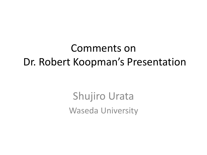#### Comments on Dr. Robert Koopman's Presentation

Shujiro Urata Waseda University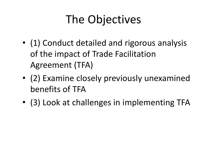# The Objectives

- (1) Conduct detailed and rigorous analysis of the impact of Trade Facilitation Agreement (TFA)
- (2) Examine closely previously unexamined benefits of TFA
- (3) Look at challenges in implementing TFA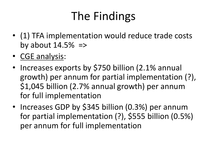# The Findings

- (1) TFA implementation would reduce trade costs by about  $14.5\%$  =>
- CGE analysis:
- Increases exports by \$750 billion (2.1% annual growth) per annum for partial implementation (?), \$1,045 billion (2.7% annual growth) per annum for full implementation
- Increases GDP by \$345 billion (0.3%) per annum for partial implementation (?), \$555 billion (0.5%) per annum for full implementation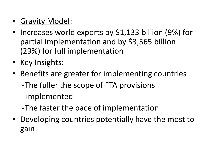- Gravity Model:
- Increases world exports by \$1,133 billion (9%) for partial implementation and by \$3,565 billion (29%) for full implementation
- Key Insights:
- Benefits are greater for implementing countries -The fuller the scope of FTA provisions implemented
	- -The faster the pace of implementation
- Developing countries potentially have the most to gain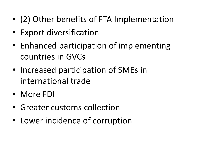- (2) Other benefits of FTA Implementation
- Export diversification
- Enhanced participation of implementing countries in GVCs
- Increased participation of SMEs in international trade
- More FDI
- Greater customs collection
- Lower incidence of corruption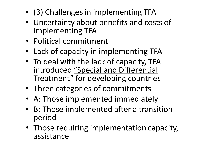- (3) Challenges in implementing TFA
- Uncertainty about benefits and costs of implementing TFA
- Political commitment
- Lack of capacity in implementing TFA
- To deal with the lack of capacity, TFA introduced "Special and Differential Treatment" for developing countries
- Three categories of commitments
- A: Those implemented immediately
- B: Those implemented after a transition period
- Those requiring implementation capacity, assistance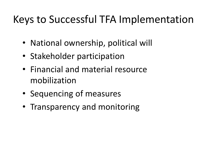#### Keys to Successful TFA Implementation

- National ownership, political will
- Stakeholder participation
- Financial and material resource mobilization
- Sequencing of measures
- Transparency and monitoring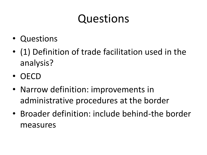### Questions

- Questions
- (1) Definition of trade facilitation used in the analysis?
- OECD
- Narrow definition: improvements in administrative procedures at the border
- Broader definition: include behind-the border measures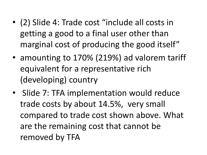- (2) Slide 4: Trade cost "include all costs in getting a good to a final user other than marginal cost of producing the good itself"
- amounting to 170% (219%) ad valorem tariff equivalent for a representative rich (developing) country
- Slide 7: TFA implementation would reduce trade costs by about 14.5%, very small compared to trade cost shown above. What are the remaining cost that cannot be removed by TFA